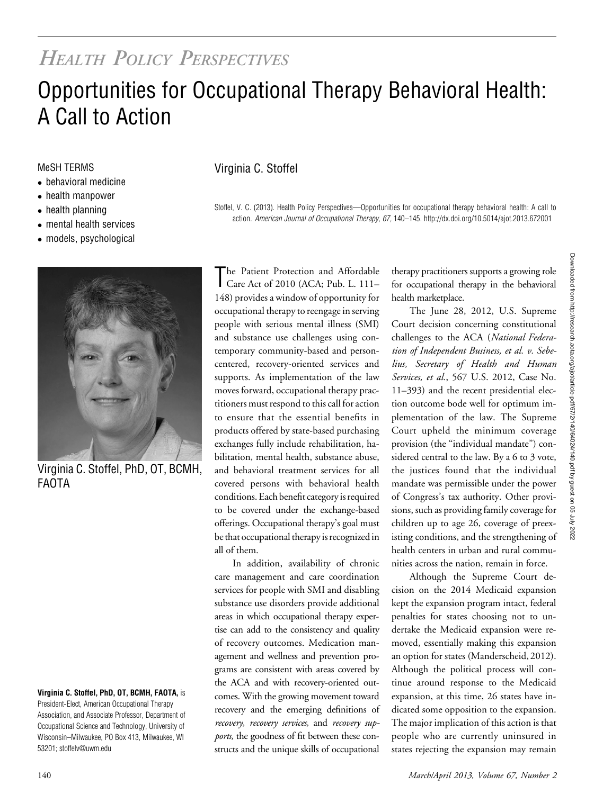## HEALTH POLICY PERSPECTIVES

# Opportunities for Occupational Therapy Behavioral Health: A Call to Action

- behavioral medicine
- health manpower
- health planning
- mental health services
- models, psychological



Virginia C. Stoffel, PhD, OT, BCMH, FAOTA

#### Virginia C. Stoffel, PhD, OT, BCMH, FAOTA, is

President-Elect, American Occupational Therapy Association, and Associate Professor, Department of Occupational Science and Technology, University of Wisconsin–Milwaukee, PO Box 413, Milwaukee, WI 53201; stoffelv@uwm.edu

#### MeSH TERMS Virginia C. Stoffel

Stoffel, V. C. (2013). Health Policy Perspectives—Opportunities for occupational therapy behavioral health: A call to action. American Journal of Occupational Therapy, 67, 140–145. http://dx.doi.org/10.5014/ajot.2013.672001

The Patient Protection and Affordable<br>Care Act of 2010 (ACA; Pub. L. 111– he Patient Protection and Affordable 148) provides a window of opportunity for occupational therapy to reengage in serving people with serious mental illness (SMI) and substance use challenges using contemporary community-based and personcentered, recovery-oriented services and supports. As implementation of the law moves forward, occupational therapy practitioners must respond to this call for action to ensure that the essential benefits in products offered by state-based purchasing exchanges fully include rehabilitation, habilitation, mental health, substance abuse, and behavioral treatment services for all covered persons with behavioral health conditions. Each benefit category is required to be covered under the exchange-based offerings. Occupational therapy's goal must be that occupational therapy is recognized in all of them.

In addition, availability of chronic care management and care coordination services for people with SMI and disabling substance use disorders provide additional areas in which occupational therapy expertise can add to the consistency and quality of recovery outcomes. Medication management and wellness and prevention programs are consistent with areas covered by the ACA and with recovery-oriented outcomes. With the growing movement toward recovery and the emerging definitions of recovery, recovery services, and recovery supports, the goodness of fit between these constructs and the unique skills of occupational

therapy practitioners supports a growing role for occupational therapy in the behavioral health marketplace.

The June 28, 2012, U.S. Supreme Court decision concerning constitutional challenges to the ACA (National Federation of Independent Business, et al. v. Sebelius, Secretary of Health and Human Services, et al., 567 U.S. 2012, Case No. 11–393) and the recent presidential election outcome bode well for optimum implementation of the law. The Supreme Court upheld the minimum coverage provision (the "individual mandate") considered central to the law. By a 6 to 3 vote, the justices found that the individual mandate was permissible under the power of Congress's tax authority. Other provisions, such as providing family coverage for children up to age 26, coverage of preexisting conditions, and the strengthening of health centers in urban and rural communities across the nation, remain in force.

Although the Supreme Court decision on the 2014 Medicaid expansion kept the expansion program intact, federal penalties for states choosing not to undertake the Medicaid expansion were removed, essentially making this expansion an option for states (Manderscheid, 2012). Although the political process will continue around response to the Medicaid expansion, at this time, 26 states have indicated some opposition to the expansion. The major implication of this action is that people who are currently uninsured in states rejecting the expansion may remain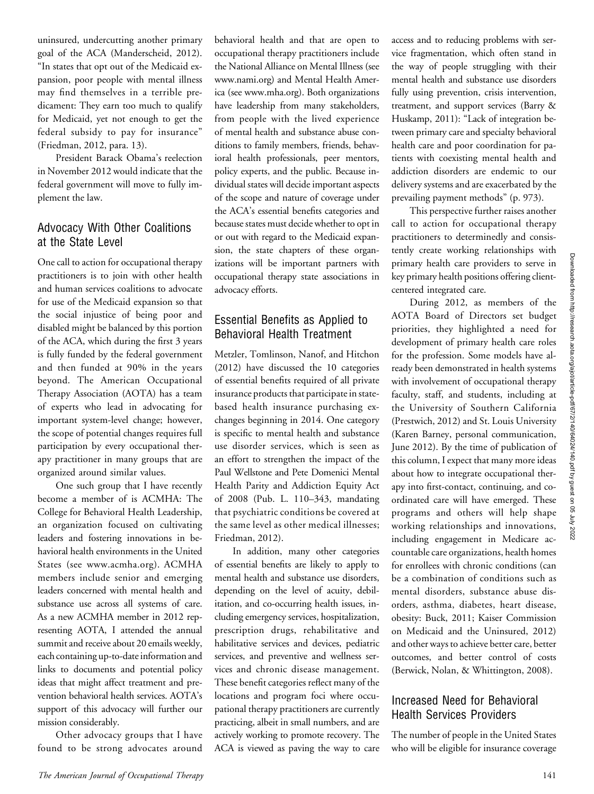uninsured, undercutting another primary goal of the ACA (Manderscheid, 2012). "In states that opt out of the Medicaid expansion, poor people with mental illness may find themselves in a terrible predicament: They earn too much to qualify for Medicaid, yet not enough to get the federal subsidy to pay for insurance" (Friedman, 2012, para. 13).

President Barack Obama's reelection in November 2012 would indicate that the federal government will move to fully implement the law.

#### Advocacy With Other Coalitions at the State Level

One call to action for occupational therapy practitioners is to join with other health and human services coalitions to advocate for use of the Medicaid expansion so that the social injustice of being poor and disabled might be balanced by this portion of the ACA, which during the first 3 years is fully funded by the federal government and then funded at 90% in the years beyond. The American Occupational Therapy Association (AOTA) has a team of experts who lead in advocating for important system-level change; however, the scope of potential changes requires full participation by every occupational therapy practitioner in many groups that are organized around similar values.

One such group that I have recently become a member of is ACMHA: The College for Behavioral Health Leadership, an organization focused on cultivating leaders and fostering innovations in behavioral health environments in the United States (see www.acmha.org). ACMHA members include senior and emerging leaders concerned with mental health and substance use across all systems of care. As a new ACMHA member in 2012 representing AOTA, I attended the annual summit and receive about 20 emails weekly, each containing up-to-date information and links to documents and potential policy ideas that might affect treatment and prevention behavioral health services. AOTA's support of this advocacy will further our mission considerably.

Other advocacy groups that I have found to be strong advocates around behavioral health and that are open to occupational therapy practitioners include the National Alliance on Mental Illness (see www.nami.org) and Mental Health America (see www.mha.org). Both organizations have leadership from many stakeholders, from people with the lived experience of mental health and substance abuse conditions to family members, friends, behavioral health professionals, peer mentors, policy experts, and the public. Because individual states will decide important aspects of the scope and nature of coverage under the ACA's essential benefits categories and because states must decide whether to opt in or out with regard to the Medicaid expansion, the state chapters of these organizations will be important partners with occupational therapy state associations in advocacy efforts.

### Essential Benefits as Applied to Behavioral Health Treatment

Metzler, Tomlinson, Nanof, and Hitchon (2012) have discussed the 10 categories of essential benefits required of all private insurance products that participate in statebased health insurance purchasing exchanges beginning in 2014. One category is specific to mental health and substance use disorder services, which is seen as an effort to strengthen the impact of the Paul Wellstone and Pete Domenici Mental Health Parity and Addiction Equity Act of 2008 (Pub. L. 110–343, mandating that psychiatric conditions be covered at the same level as other medical illnesses; Friedman, 2012).

In addition, many other categories of essential benefits are likely to apply to mental health and substance use disorders, depending on the level of acuity, debilitation, and co-occurring health issues, including emergency services, hospitalization, prescription drugs, rehabilitative and habilitative services and devices, pediatric services, and preventive and wellness services and chronic disease management. These benefit categories reflect many of the locations and program foci where occupational therapy practitioners are currently practicing, albeit in small numbers, and are actively working to promote recovery. The ACA is viewed as paving the way to care

access and to reducing problems with service fragmentation, which often stand in the way of people struggling with their mental health and substance use disorders fully using prevention, crisis intervention, treatment, and support services (Barry & Huskamp, 2011): "Lack of integration between primary care and specialty behavioral health care and poor coordination for patients with coexisting mental health and addiction disorders are endemic to our delivery systems and are exacerbated by the prevailing payment methods" (p. 973).

This perspective further raises another call to action for occupational therapy practitioners to determinedly and consistently create working relationships with primary health care providers to serve in key primary health positions offering clientcentered integrated care.

During 2012, as members of the AOTA Board of Directors set budget priorities, they highlighted a need for development of primary health care roles for the profession. Some models have already been demonstrated in health systems with involvement of occupational therapy faculty, staff, and students, including at the University of Southern California (Prestwich, 2012) and St. Louis University (Karen Barney, personal communication, June 2012). By the time of publication of this column, I expect that many more ideas about how to integrate occupational therapy into first-contact, continuing, and coordinated care will have emerged. These programs and others will help shape working relationships and innovations, including engagement in Medicare accountable care organizations, health homes for enrollees with chronic conditions (can be a combination of conditions such as mental disorders, substance abuse disorders, asthma, diabetes, heart disease, obesity: Buck, 2011; Kaiser Commission on Medicaid and the Uninsured, 2012) and other ways to achieve better care, better outcomes, and better control of costs (Berwick, Nolan, & Whittington, 2008).

#### Increased Need for Behavioral Health Services Providers

The number of people in the United States who will be eligible for insurance coverage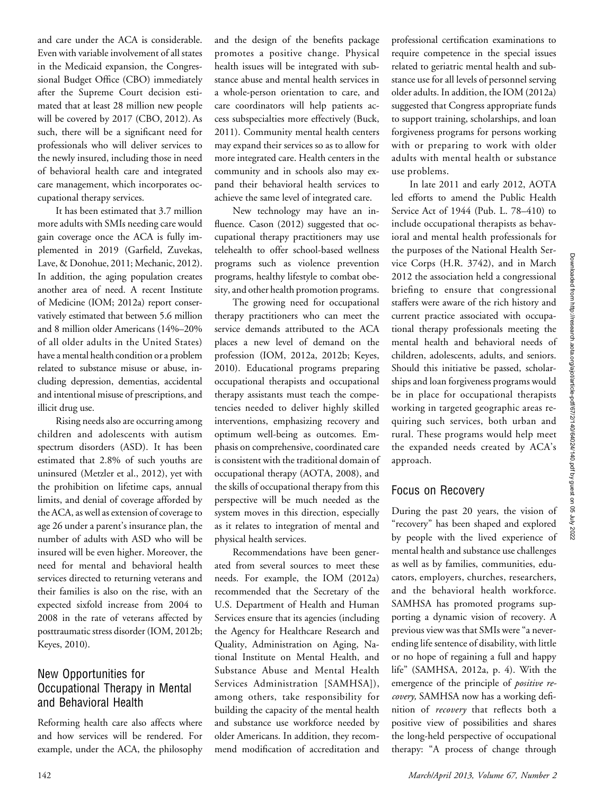Downloaded from http://research.aota.org/ajot/article-pdf/67/2/140/64024/140.pdf by guest on 05 July 2022 Downloaded from http://research.aota.org/ajot/article-pdf/67/2/140/64024/140.pdf by guest on 05 July 2022

and care under the ACA is considerable. Even with variable involvement of all states in the Medicaid expansion, the Congressional Budget Office (CBO) immediately after the Supreme Court decision estimated that at least 28 million new people will be covered by 2017 (CBO, 2012). As such, there will be a significant need for professionals who will deliver services to the newly insured, including those in need of behavioral health care and integrated care management, which incorporates occupational therapy services.

It has been estimated that 3.7 million more adults with SMIs needing care would gain coverage once the ACA is fully implemented in 2019 (Garfield, Zuvekas, Lave, & Donohue, 2011; Mechanic, 2012). In addition, the aging population creates another area of need. A recent Institute of Medicine (IOM; 2012a) report conservatively estimated that between 5.6 million and 8 million older Americans (14%–20% of all older adults in the United States) have a mental health condition or a problem related to substance misuse or abuse, including depression, dementias, accidental and intentional misuse of prescriptions, and illicit drug use.

Rising needs also are occurring among children and adolescents with autism spectrum disorders (ASD). It has been estimated that 2.8% of such youths are uninsured (Metzler et al., 2012), yet with the prohibition on lifetime caps, annual limits, and denial of coverage afforded by the ACA, as well as extension of coverage to age 26 under a parent's insurance plan, the number of adults with ASD who will be insured will be even higher. Moreover, the need for mental and behavioral health services directed to returning veterans and their families is also on the rise, with an expected sixfold increase from 2004 to 2008 in the rate of veterans affected by posttraumatic stress disorder (IOM, 2012b; Keyes, 2010).

#### New Opportunities for Occupational Therapy in Mental and Behavioral Health

Reforming health care also affects where and how services will be rendered. For example, under the ACA, the philosophy

and the design of the benefits package promotes a positive change. Physical health issues will be integrated with substance abuse and mental health services in a whole-person orientation to care, and care coordinators will help patients access subspecialties more effectively (Buck, 2011). Community mental health centers may expand their services so as to allow for more integrated care. Health centers in the community and in schools also may expand their behavioral health services to achieve the same level of integrated care.

New technology may have an influence. Cason (2012) suggested that occupational therapy practitioners may use telehealth to offer school-based wellness programs such as violence prevention programs, healthy lifestyle to combat obesity, and other health promotion programs.

The growing need for occupational therapy practitioners who can meet the service demands attributed to the ACA places a new level of demand on the profession (IOM, 2012a, 2012b; Keyes, 2010). Educational programs preparing occupational therapists and occupational therapy assistants must teach the competencies needed to deliver highly skilled interventions, emphasizing recovery and optimum well-being as outcomes. Emphasis on comprehensive, coordinated care is consistent with the traditional domain of occupational therapy (AOTA, 2008), and the skills of occupational therapy from this perspective will be much needed as the system moves in this direction, especially as it relates to integration of mental and physical health services.

Recommendations have been generated from several sources to meet these needs. For example, the IOM (2012a) recommended that the Secretary of the U.S. Department of Health and Human Services ensure that its agencies (including the Agency for Healthcare Research and Quality, Administration on Aging, National Institute on Mental Health, and Substance Abuse and Mental Health Services Administration [SAMHSA]), among others, take responsibility for building the capacity of the mental health and substance use workforce needed by older Americans. In addition, they recommend modification of accreditation and

professional certification examinations to require competence in the special issues related to geriatric mental health and substance use for all levels of personnel serving older adults. In addition, the IOM (2012a) suggested that Congress appropriate funds to support training, scholarships, and loan forgiveness programs for persons working with or preparing to work with older adults with mental health or substance use problems.

In late 2011 and early 2012, AOTA led efforts to amend the Public Health Service Act of 1944 (Pub. L. 78–410) to include occupational therapists as behavioral and mental health professionals for the purposes of the National Health Service Corps (H.R. 3742), and in March 2012 the association held a congressional briefing to ensure that congressional staffers were aware of the rich history and current practice associated with occupational therapy professionals meeting the mental health and behavioral needs of children, adolescents, adults, and seniors. Should this initiative be passed, scholarships and loan forgiveness programs would be in place for occupational therapists working in targeted geographic areas requiring such services, both urban and rural. These programs would help meet the expanded needs created by ACA's approach.

#### Focus on Recovery

During the past 20 years, the vision of "recovery" has been shaped and explored by people with the lived experience of mental health and substance use challenges as well as by families, communities, educators, employers, churches, researchers, and the behavioral health workforce. SAMHSA has promoted programs supporting a dynamic vision of recovery. A previous view was that SMIs were "a neverending life sentence of disability, with little or no hope of regaining a full and happy life" (SAMHSA, 2012a, p. 4). With the emergence of the principle of *positive re*covery, SAMHSA now has a working definition of *recovery* that reflects both a positive view of possibilities and shares the long-held perspective of occupational therapy: "A process of change through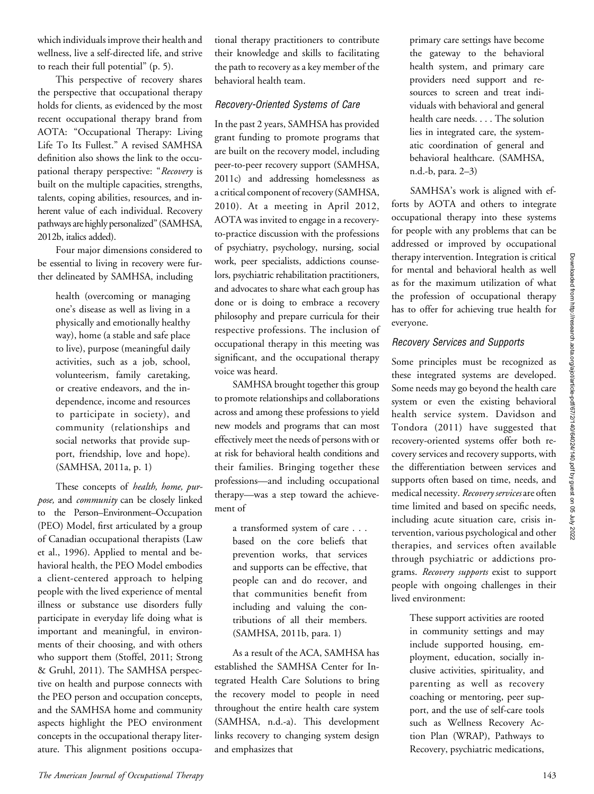which individuals improve their health and wellness, live a self-directed life, and strive to reach their full potential" (p. 5).

This perspective of recovery shares the perspective that occupational therapy holds for clients, as evidenced by the most recent occupational therapy brand from AOTA: "Occupational Therapy: Living Life To Its Fullest." A revised SAMHSA definition also shows the link to the occupational therapy perspective: "Recovery is built on the multiple capacities, strengths, talents, coping abilities, resources, and inherent value of each individual. Recovery pathways are highly personalized" (SAMHSA, 2012b, italics added).

Four major dimensions considered to be essential to living in recovery were further delineated by SAMHSA, including

> health (overcoming or managing one's disease as well as living in a physically and emotionally healthy way), home (a stable and safe place to live), purpose (meaningful daily activities, such as a job, school, volunteerism, family caretaking, or creative endeavors, and the independence, income and resources to participate in society), and community (relationships and social networks that provide support, friendship, love and hope). (SAMHSA, 2011a, p. 1)

These concepts of health, home, purpose, and community can be closely linked to the Person–Environment–Occupation (PEO) Model, first articulated by a group of Canadian occupational therapists (Law et al., 1996). Applied to mental and behavioral health, the PEO Model embodies a client-centered approach to helping people with the lived experience of mental illness or substance use disorders fully participate in everyday life doing what is important and meaningful, in environments of their choosing, and with others who support them (Stoffel, 2011; Strong & Gruhl, 2011). The SAMHSA perspective on health and purpose connects with the PEO person and occupation concepts, and the SAMHSA home and community aspects highlight the PEO environment concepts in the occupational therapy literature. This alignment positions occupational therapy practitioners to contribute their knowledge and skills to facilitating the path to recovery as a key member of the behavioral health team.

#### Recovery-Oriented Systems of Care

In the past 2 years, SAMHSA has provided grant funding to promote programs that are built on the recovery model, including peer-to-peer recovery support (SAMHSA, 2011c) and addressing homelessness as a critical component of recovery (SAMHSA, 2010). At a meeting in April 2012, AOTA was invited to engage in a recoveryto-practice discussion with the professions of psychiatry, psychology, nursing, social work, peer specialists, addictions counselors, psychiatric rehabilitation practitioners, and advocates to share what each group has done or is doing to embrace a recovery philosophy and prepare curricula for their respective professions. The inclusion of occupational therapy in this meeting was significant, and the occupational therapy voice was heard.

SAMHSA brought together this group to promote relationships and collaborations across and among these professions to yield new models and programs that can most effectively meet the needs of persons with or at risk for behavioral health conditions and their families. Bringing together these professions—and including occupational therapy—was a step toward the achievement of

a transformed system of care . . . based on the core beliefs that prevention works, that services and supports can be effective, that people can and do recover, and that communities benefit from including and valuing the contributions of all their members. (SAMHSA, 2011b, para. 1)

As a result of the ACA, SAMHSA has established the SAMHSA Center for Integrated Health Care Solutions to bring the recovery model to people in need throughout the entire health care system (SAMHSA, n.d.-a). This development links recovery to changing system design and emphasizes that

primary care settings have become the gateway to the behavioral health system, and primary care providers need support and resources to screen and treat individuals with behavioral and general health care needs. . . . The solution lies in integrated care, the systematic coordination of general and behavioral healthcare. (SAMHSA, n.d.-b, para. 2–3)

SAMHSA's work is aligned with efforts by AOTA and others to integrate occupational therapy into these systems for people with any problems that can be addressed or improved by occupational therapy intervention. Integration is critical for mental and behavioral health as well as for the maximum utilization of what the profession of occupational therapy has to offer for achieving true health for everyone.

#### Recovery Services and Supports

Some principles must be recognized as these integrated systems are developed. Some needs may go beyond the health care system or even the existing behavioral health service system. Davidson and Tondora (2011) have suggested that recovery-oriented systems offer both recovery services and recovery supports, with the differentiation between services and supports often based on time, needs, and medical necessity. Recovery services are often time limited and based on specific needs, including acute situation care, crisis intervention, various psychological and other therapies, and services often available through psychiatric or addictions programs. Recovery supports exist to support people with ongoing challenges in their lived environment:

> These support activities are rooted in community settings and may include supported housing, employment, education, socially inclusive activities, spirituality, and parenting as well as recovery coaching or mentoring, peer support, and the use of self-care tools such as Wellness Recovery Action Plan (WRAP), Pathways to Recovery, psychiatric medications,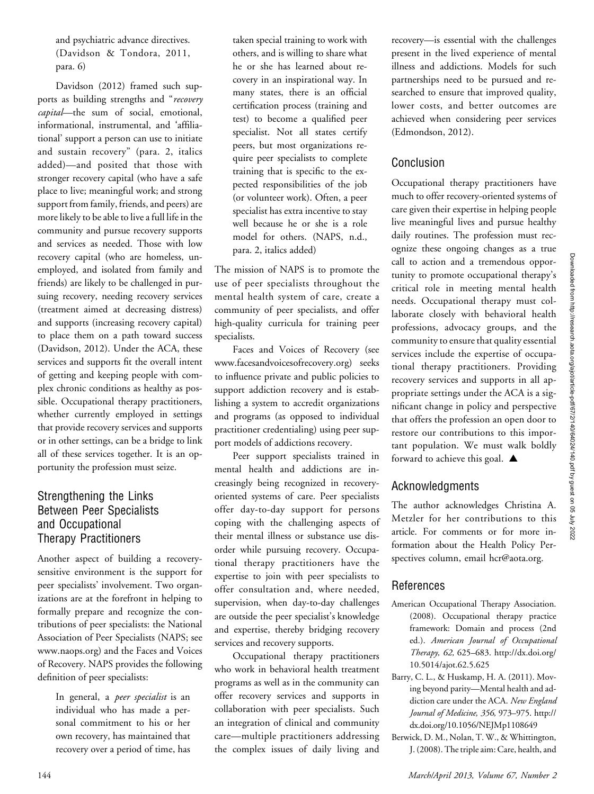and psychiatric advance directives. (Davidson & Tondora, 2011, para. 6)

Davidson (2012) framed such supports as building strengths and "recovery capital—the sum of social, emotional, informational, instrumental, and 'affiliational' support a person can use to initiate and sustain recovery" (para. 2, italics added)—and posited that those with stronger recovery capital (who have a safe place to live; meaningful work; and strong support from family, friends, and peers) are more likely to be able to live a full life in the community and pursue recovery supports and services as needed. Those with low recovery capital (who are homeless, unemployed, and isolated from family and friends) are likely to be challenged in pursuing recovery, needing recovery services (treatment aimed at decreasing distress) and supports (increasing recovery capital) to place them on a path toward success (Davidson, 2012). Under the ACA, these services and supports fit the overall intent of getting and keeping people with complex chronic conditions as healthy as possible. Occupational therapy practitioners, whether currently employed in settings that provide recovery services and supports or in other settings, can be a bridge to link all of these services together. It is an opportunity the profession must seize.

### Strengthening the Links Between Peer Specialists and Occupational Therapy Practitioners

Another aspect of building a recoverysensitive environment is the support for peer specialists' involvement. Two organizations are at the forefront in helping to formally prepare and recognize the contributions of peer specialists: the National Association of Peer Specialists (NAPS; see www.naops.org) and the Faces and Voices of Recovery. NAPS provides the following definition of peer specialists:

> In general, a *peer specialist* is an individual who has made a personal commitment to his or her own recovery, has maintained that recovery over a period of time, has

taken special training to work with others, and is willing to share what he or she has learned about recovery in an inspirational way. In many states, there is an official certification process (training and test) to become a qualified peer specialist. Not all states certify peers, but most organizations require peer specialists to complete training that is specific to the expected responsibilities of the job (or volunteer work). Often, a peer specialist has extra incentive to stay well because he or she is a role model for others. (NAPS, n.d., para. 2, italics added)

The mission of NAPS is to promote the use of peer specialists throughout the mental health system of care, create a community of peer specialists, and offer high-quality curricula for training peer specialists.

Faces and Voices of Recovery (see www.facesandvoicesofrecovery.org) seeks to influence private and public policies to support addiction recovery and is establishing a system to accredit organizations and programs (as opposed to individual practitioner credentialing) using peer support models of addictions recovery.

Peer support specialists trained in mental health and addictions are increasingly being recognized in recoveryoriented systems of care. Peer specialists offer day-to-day support for persons coping with the challenging aspects of their mental illness or substance use disorder while pursuing recovery. Occupational therapy practitioners have the expertise to join with peer specialists to offer consultation and, where needed, supervision, when day-to-day challenges are outside the peer specialist's knowledge and expertise, thereby bridging recovery services and recovery supports.

Occupational therapy practitioners who work in behavioral health treatment programs as well as in the community can offer recovery services and supports in collaboration with peer specialists. Such an integration of clinical and community care—multiple practitioners addressing the complex issues of daily living and

recovery—is essential with the challenges present in the lived experience of mental illness and addictions. Models for such partnerships need to be pursued and researched to ensure that improved quality, lower costs, and better outcomes are achieved when considering peer services (Edmondson, 2012).

#### Conclusion

Occupational therapy practitioners have much to offer recovery-oriented systems of care given their expertise in helping people live meaningful lives and pursue healthy daily routines. The profession must recognize these ongoing changes as a true call to action and a tremendous opportunity to promote occupational therapy's critical role in meeting mental health needs. Occupational therapy must collaborate closely with behavioral health professions, advocacy groups, and the community to ensure that quality essential services include the expertise of occupational therapy practitioners. Providing recovery services and supports in all appropriate settings under the ACA is a significant change in policy and perspective that offers the profession an open door to restore our contributions to this important population. We must walk boldly forward to achieve this goal.  $\triangle$ 

#### Acknowledgments

The author acknowledges Christina A. Metzler for her contributions to this article. For comments or for more information about the Health Policy Perspectives column, email hcr@aota.org.

#### References

- American Occupational Therapy Association. (2008). Occupational therapy practice framework: Domain and process (2nd ed.). American Journal of Occupational Therapy, 62, 625–683. http://dx.doi.org/ 10.5014/ajot.62.5.625
- Barry, C. L., & Huskamp, H. A. (2011). Moving beyond parity—Mental health and addiction care under the ACA. New England Journal of Medicine, 356, 973–975. http:// dx.doi.org/10.1056/NEJMp1108649
- Berwick, D. M., Nolan, T. W., & Whittington, J. (2008). The triple aim: Care, health, and